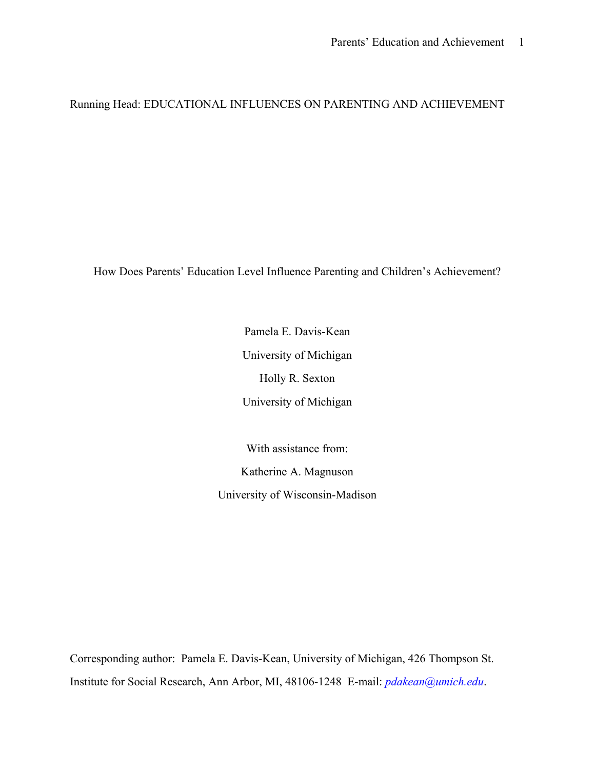Running Head: EDUCATIONAL INFLUENCES ON PARENTING AND ACHIEVEMENT

How Does Parents' Education Level Influence Parenting and Children's Achievement?

Pamela E. Davis-Kean University of Michigan Holly R. Sexton University of Michigan

With assistance from: Katherine A. Magnuson University of Wisconsin-Madison

Corresponding author: Pamela E. Davis-Kean, University of Michigan, 426 Thompson St. Institute for Social Research, Ann Arbor, MI, 48106-1248 E-mail: *pdakean@umich.edu*.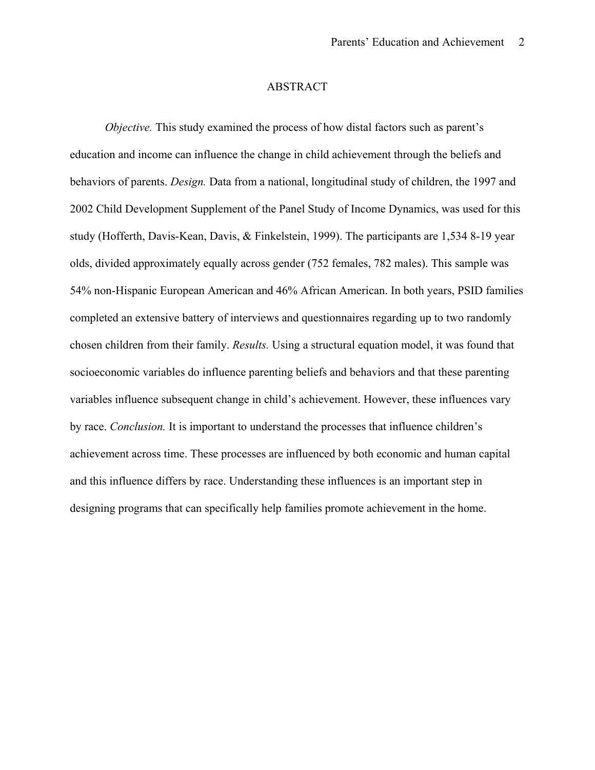## ABSTRACT

*Objective.* This study examined the process of how distal factors such as parent's education and income can influence the change in child achievement through the beliefs and behaviors of parents. *Design.* Data from a national, longitudinal study of children, the 1997 and 2002 Child Development Supplement of the Panel Study of Income Dynamics, was used for this study (Hofferth, Davis-Kean, Davis, & Finkelstein, 1999). The participants are 1,534 8-19 year olds, divided approximately equally across gender (752 females, 782 males). This sample was 54% non-Hispanic European American and 46% African American. In both years, PSID families completed an extensive battery of interviews and questionnaires regarding up to two randomly chosen children from their family. *Results.* Using a structural equation model, it was found that socioeconomic variables do influence parenting beliefs and behaviors and that these parenting variables influence subsequent change in child's achievement. However, these influences vary by race. *Conclusion.* It is important to understand the processes that influence children's achievement across time. These processes are influenced by both economic and human capital and this influence differs by race. Understanding these influences is an important step in designing programs that can specifically help families promote achievement in the home.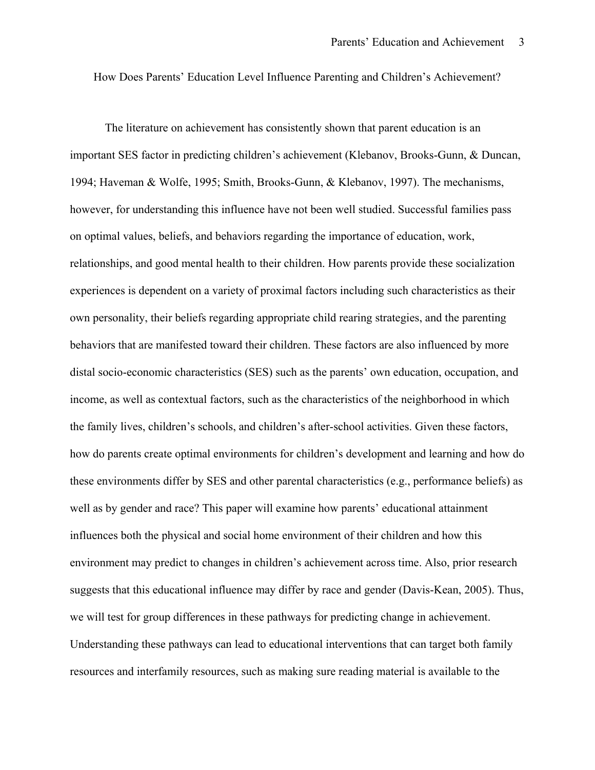How Does Parents' Education Level Influence Parenting and Children's Achievement?

The literature on achievement has consistently shown that parent education is an important SES factor in predicting children's achievement (Klebanov, Brooks-Gunn, & Duncan, 1994; Haveman & Wolfe, 1995; Smith, Brooks-Gunn, & Klebanov, 1997). The mechanisms, however, for understanding this influence have not been well studied. Successful families pass on optimal values, beliefs, and behaviors regarding the importance of education, work, relationships, and good mental health to their children. How parents provide these socialization experiences is dependent on a variety of proximal factors including such characteristics as their own personality, their beliefs regarding appropriate child rearing strategies, and the parenting behaviors that are manifested toward their children. These factors are also influenced by more distal socio-economic characteristics (SES) such as the parents' own education, occupation, and income, as well as contextual factors, such as the characteristics of the neighborhood in which the family lives, children's schools, and children's after-school activities. Given these factors, how do parents create optimal environments for children's development and learning and how do these environments differ by SES and other parental characteristics (e.g., performance beliefs) as well as by gender and race? This paper will examine how parents' educational attainment influences both the physical and social home environment of their children and how this environment may predict to changes in children's achievement across time. Also, prior research suggests that this educational influence may differ by race and gender (Davis-Kean, 2005). Thus, we will test for group differences in these pathways for predicting change in achievement. Understanding these pathways can lead to educational interventions that can target both family resources and interfamily resources, such as making sure reading material is available to the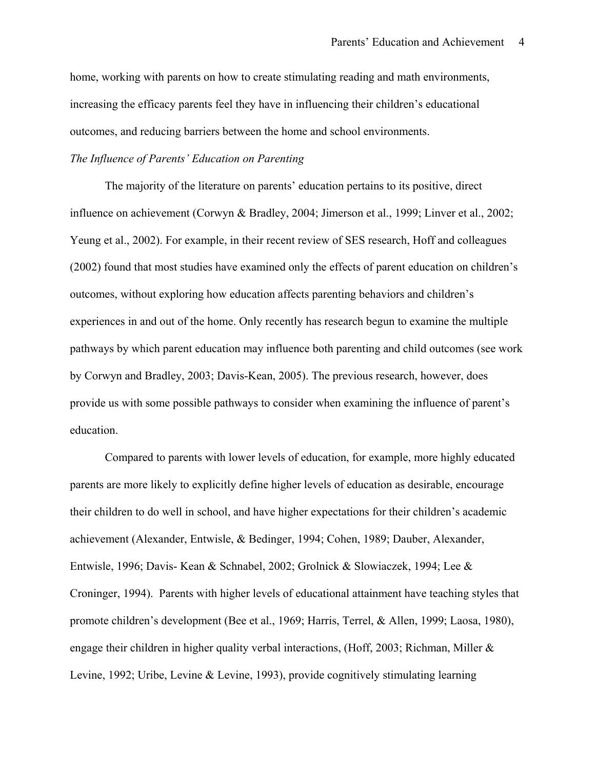home, working with parents on how to create stimulating reading and math environments, increasing the efficacy parents feel they have in influencing their children's educational outcomes, and reducing barriers between the home and school environments.

## *The Influence of Parents' Education on Parenting*

The majority of the literature on parents' education pertains to its positive, direct influence on achievement (Corwyn & Bradley, 2004; Jimerson et al., 1999; Linver et al., 2002; Yeung et al., 2002). For example, in their recent review of SES research, Hoff and colleagues (2002) found that most studies have examined only the effects of parent education on children's outcomes, without exploring how education affects parenting behaviors and children's experiences in and out of the home. Only recently has research begun to examine the multiple pathways by which parent education may influence both parenting and child outcomes (see work by Corwyn and Bradley, 2003; Davis-Kean, 2005). The previous research, however, does provide us with some possible pathways to consider when examining the influence of parent's education.

Compared to parents with lower levels of education, for example, more highly educated parents are more likely to explicitly define higher levels of education as desirable, encourage their children to do well in school, and have higher expectations for their children's academic achievement (Alexander, Entwisle, & Bedinger, 1994; Cohen, 1989; Dauber, Alexander, Entwisle, 1996; Davis- Kean & Schnabel, 2002; Grolnick & Slowiaczek, 1994; Lee & Croninger, 1994). Parents with higher levels of educational attainment have teaching styles that promote children's development (Bee et al., 1969; Harris, Terrel, & Allen, 1999; Laosa, 1980), engage their children in higher quality verbal interactions, (Hoff, 2003; Richman, Miller  $\&$ Levine, 1992; Uribe, Levine & Levine, 1993), provide cognitively stimulating learning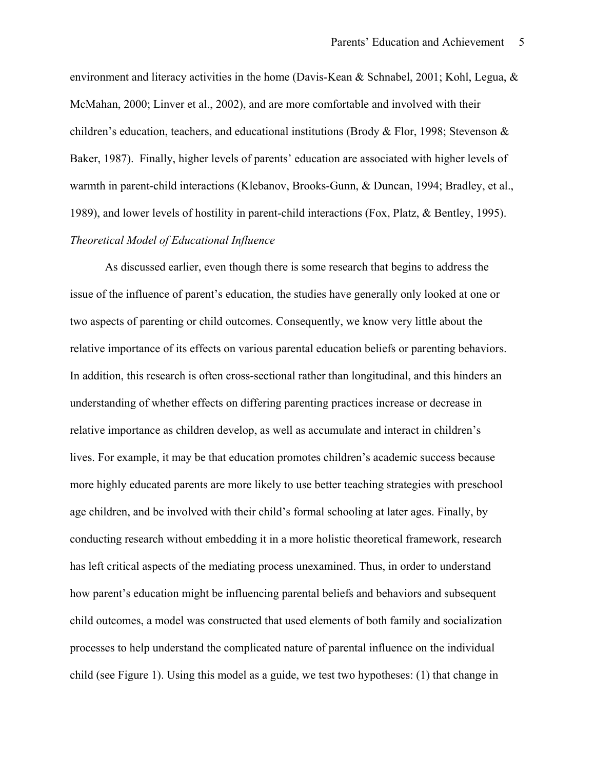environment and literacy activities in the home (Davis-Kean & Schnabel, 2001; Kohl, Legua, & McMahan, 2000; Linver et al., 2002), and are more comfortable and involved with their children's education, teachers, and educational institutions (Brody & Flor, 1998; Stevenson & Baker, 1987). Finally, higher levels of parents' education are associated with higher levels of warmth in parent-child interactions (Klebanov, Brooks-Gunn, & Duncan, 1994; Bradley, et al., 1989), and lower levels of hostility in parent-child interactions (Fox, Platz, & Bentley, 1995).

# *Theoretical Model of Educational Influence*

As discussed earlier, even though there is some research that begins to address the issue of the influence of parent's education, the studies have generally only looked at one or two aspects of parenting or child outcomes. Consequently, we know very little about the relative importance of its effects on various parental education beliefs or parenting behaviors. In addition, this research is often cross-sectional rather than longitudinal, and this hinders an understanding of whether effects on differing parenting practices increase or decrease in relative importance as children develop, as well as accumulate and interact in children's lives. For example, it may be that education promotes children's academic success because more highly educated parents are more likely to use better teaching strategies with preschool age children, and be involved with their child's formal schooling at later ages. Finally, by conducting research without embedding it in a more holistic theoretical framework, research has left critical aspects of the mediating process unexamined. Thus, in order to understand how parent's education might be influencing parental beliefs and behaviors and subsequent child outcomes, a model was constructed that used elements of both family and socialization processes to help understand the complicated nature of parental influence on the individual child (see Figure 1). Using this model as a guide, we test two hypotheses: (1) that change in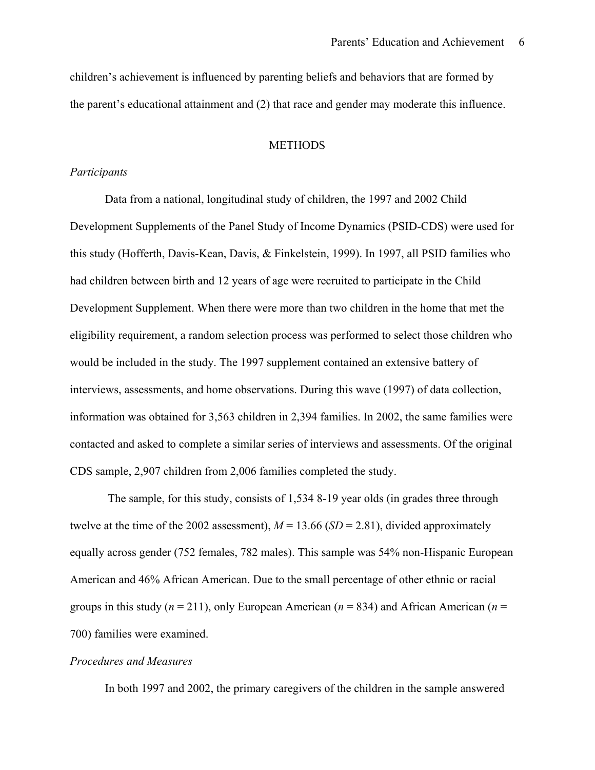children's achievement is influenced by parenting beliefs and behaviors that are formed by the parent's educational attainment and (2) that race and gender may moderate this influence.

## **METHODS**

### *Participants*

Data from a national, longitudinal study of children, the 1997 and 2002 Child Development Supplements of the Panel Study of Income Dynamics (PSID-CDS) were used for this study (Hofferth, Davis-Kean, Davis, & Finkelstein, 1999). In 1997, all PSID families who had children between birth and 12 years of age were recruited to participate in the Child Development Supplement. When there were more than two children in the home that met the eligibility requirement, a random selection process was performed to select those children who would be included in the study. The 1997 supplement contained an extensive battery of interviews, assessments, and home observations. During this wave (1997) of data collection, information was obtained for 3,563 children in 2,394 families. In 2002, the same families were contacted and asked to complete a similar series of interviews and assessments. Of the original CDS sample, 2,907 children from 2,006 families completed the study.

 The sample, for this study, consists of 1,534 8-19 year olds (in grades three through twelve at the time of the 2002 assessment),  $M = 13.66$  (*SD* = 2.81), divided approximately equally across gender (752 females, 782 males). This sample was 54% non-Hispanic European American and 46% African American. Due to the small percentage of other ethnic or racial groups in this study ( $n = 211$ ), only European American ( $n = 834$ ) and African American ( $n =$ 700) families were examined.

#### *Procedures and Measures*

In both 1997 and 2002, the primary caregivers of the children in the sample answered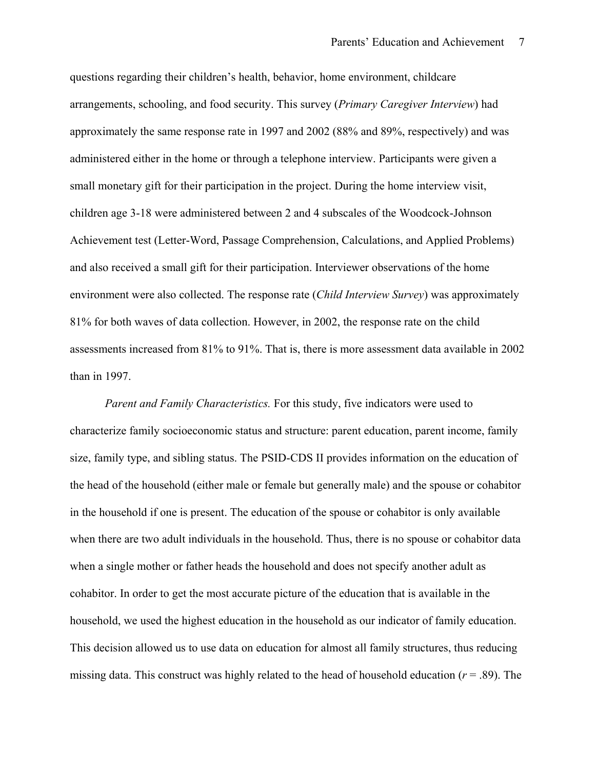questions regarding their children's health, behavior, home environment, childcare arrangements, schooling, and food security. This survey (*Primary Caregiver Interview*) had approximately the same response rate in 1997 and 2002 (88% and 89%, respectively) and was administered either in the home or through a telephone interview. Participants were given a small monetary gift for their participation in the project. During the home interview visit, children age 3-18 were administered between 2 and 4 subscales of the Woodcock-Johnson Achievement test (Letter-Word, Passage Comprehension, Calculations, and Applied Problems) and also received a small gift for their participation. Interviewer observations of the home environment were also collected. The response rate (*Child Interview Survey*) was approximately 81% for both waves of data collection. However, in 2002, the response rate on the child assessments increased from 81% to 91%. That is, there is more assessment data available in 2002 than in 1997.

*Parent and Family Characteristics.* For this study, five indicators were used to characterize family socioeconomic status and structure: parent education, parent income, family size, family type, and sibling status. The PSID-CDS II provides information on the education of the head of the household (either male or female but generally male) and the spouse or cohabitor in the household if one is present. The education of the spouse or cohabitor is only available when there are two adult individuals in the household. Thus, there is no spouse or cohabitor data when a single mother or father heads the household and does not specify another adult as cohabitor. In order to get the most accurate picture of the education that is available in the household, we used the highest education in the household as our indicator of family education. This decision allowed us to use data on education for almost all family structures, thus reducing missing data. This construct was highly related to the head of household education  $(r = .89)$ . The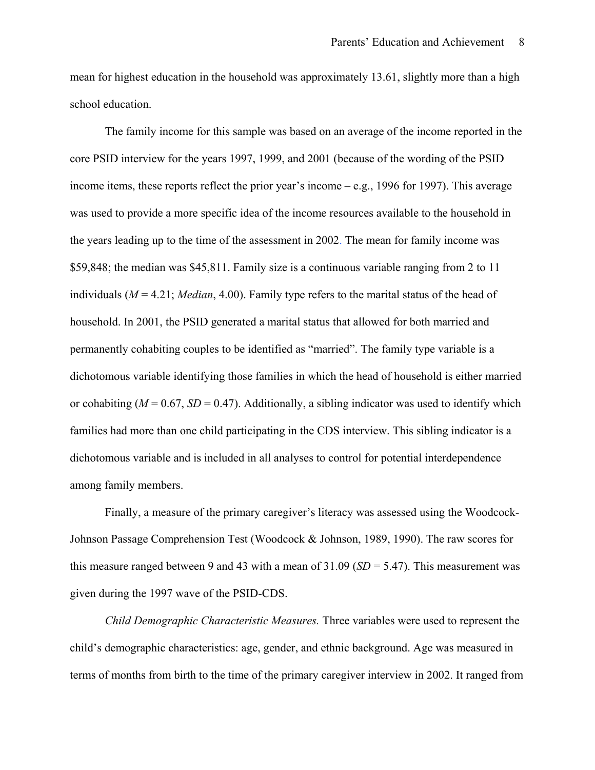mean for highest education in the household was approximately 13.61, slightly more than a high school education.

The family income for this sample was based on an average of the income reported in the core PSID interview for the years 1997, 1999, and 2001 (because of the wording of the PSID income items, these reports reflect the prior year's income – e.g., 1996 for 1997). This average was used to provide a more specific idea of the income resources available to the household in the years leading up to the time of the assessment in 2002. The mean for family income was \$59,848; the median was \$45,811. Family size is a continuous variable ranging from 2 to 11 individuals (*M* = 4.21; *Median*, 4.00). Family type refers to the marital status of the head of household. In 2001, the PSID generated a marital status that allowed for both married and permanently cohabiting couples to be identified as "married". The family type variable is a dichotomous variable identifying those families in which the head of household is either married or cohabiting  $(M = 0.67, SD = 0.47)$ . Additionally, a sibling indicator was used to identify which families had more than one child participating in the CDS interview. This sibling indicator is a dichotomous variable and is included in all analyses to control for potential interdependence among family members.

Finally, a measure of the primary caregiver's literacy was assessed using the Woodcock-Johnson Passage Comprehension Test (Woodcock & Johnson, 1989, 1990). The raw scores for this measure ranged between 9 and 43 with a mean of 31.09 (*SD* = 5.47). This measurement was given during the 1997 wave of the PSID-CDS.

*Child Demographic Characteristic Measures.* Three variables were used to represent the child's demographic characteristics: age, gender, and ethnic background. Age was measured in terms of months from birth to the time of the primary caregiver interview in 2002. It ranged from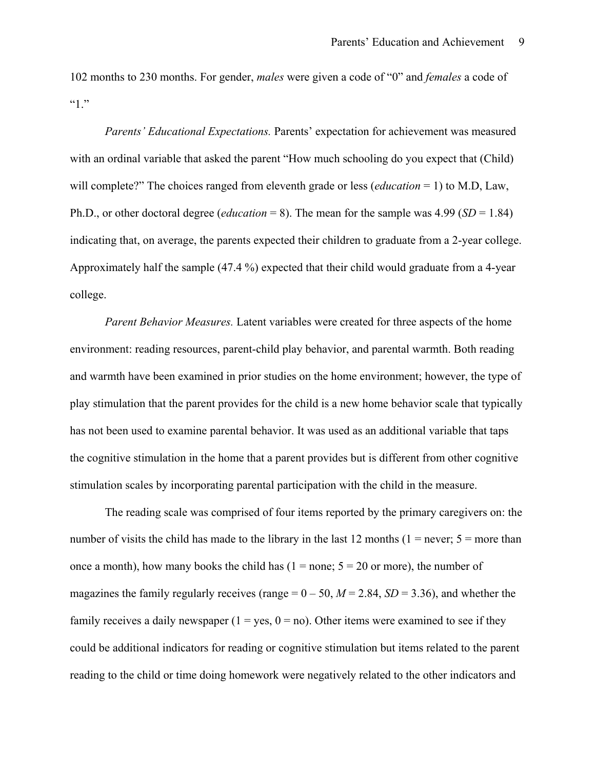102 months to 230 months. For gender, *males* were given a code of "0" and *females* a code of  $(4)$  "

*Parents' Educational Expectations.* Parents' expectation for achievement was measured with an ordinal variable that asked the parent "How much schooling do you expect that (Child) will complete?" The choices ranged from eleventh grade or less (*education* = 1) to M.D, Law, Ph.D., or other doctoral degree (*education* = 8). The mean for the sample was 4.99 (*SD* = 1.84) indicating that, on average, the parents expected their children to graduate from a 2-year college. Approximately half the sample (47.4 %) expected that their child would graduate from a 4-year college.

*Parent Behavior Measures.* Latent variables were created for three aspects of the home environment: reading resources, parent-child play behavior, and parental warmth. Both reading and warmth have been examined in prior studies on the home environment; however, the type of play stimulation that the parent provides for the child is a new home behavior scale that typically has not been used to examine parental behavior. It was used as an additional variable that taps the cognitive stimulation in the home that a parent provides but is different from other cognitive stimulation scales by incorporating parental participation with the child in the measure.

The reading scale was comprised of four items reported by the primary caregivers on: the number of visits the child has made to the library in the last 12 months ( $1 =$  never;  $5 =$  more than once a month), how many books the child has  $(1 = none; 5 = 20$  or more), the number of magazines the family regularly receives (range  $= 0 - 50$ ,  $M = 2.84$ ,  $SD = 3.36$ ), and whether the family receives a daily newspaper  $(1 = yes, 0 = no)$ . Other items were examined to see if they could be additional indicators for reading or cognitive stimulation but items related to the parent reading to the child or time doing homework were negatively related to the other indicators and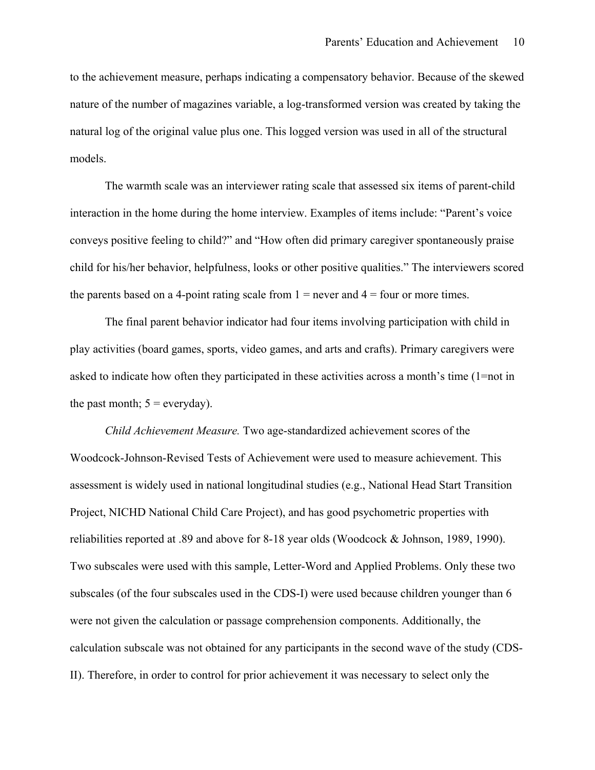to the achievement measure, perhaps indicating a compensatory behavior. Because of the skewed nature of the number of magazines variable, a log-transformed version was created by taking the natural log of the original value plus one. This logged version was used in all of the structural models.

The warmth scale was an interviewer rating scale that assessed six items of parent-child interaction in the home during the home interview. Examples of items include: "Parent's voice conveys positive feeling to child?" and "How often did primary caregiver spontaneously praise child for his/her behavior, helpfulness, looks or other positive qualities." The interviewers scored the parents based on a 4-point rating scale from  $1 =$  never and  $4 =$  four or more times.

The final parent behavior indicator had four items involving participation with child in play activities (board games, sports, video games, and arts and crafts). Primary caregivers were asked to indicate how often they participated in these activities across a month's time (1=not in the past month;  $5 =$  everyday).

*Child Achievement Measure.* Two age-standardized achievement scores of the Woodcock-Johnson-Revised Tests of Achievement were used to measure achievement. This assessment is widely used in national longitudinal studies (e.g., National Head Start Transition Project, NICHD National Child Care Project), and has good psychometric properties with reliabilities reported at .89 and above for 8-18 year olds (Woodcock & Johnson, 1989, 1990). Two subscales were used with this sample, Letter-Word and Applied Problems. Only these two subscales (of the four subscales used in the CDS-I) were used because children younger than 6 were not given the calculation or passage comprehension components. Additionally, the calculation subscale was not obtained for any participants in the second wave of the study (CDS-II). Therefore, in order to control for prior achievement it was necessary to select only the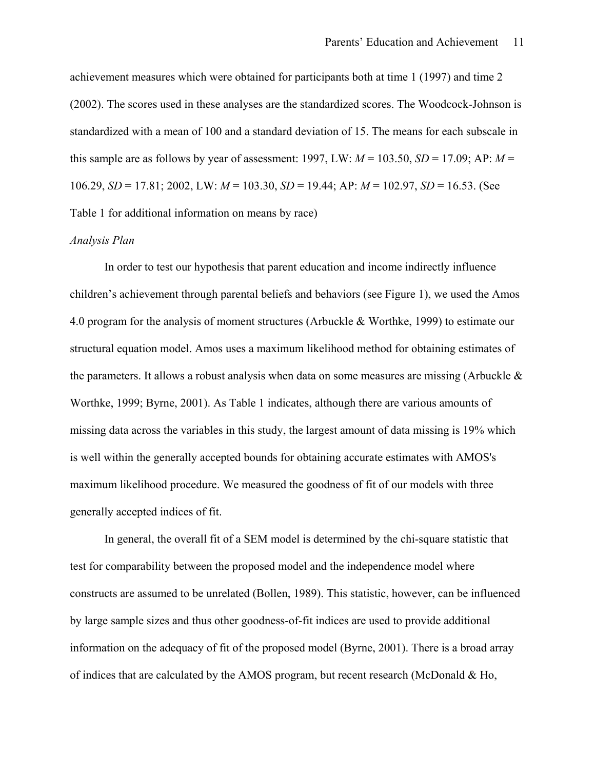achievement measures which were obtained for participants both at time 1 (1997) and time 2 (2002). The scores used in these analyses are the standardized scores. The Woodcock-Johnson is standardized with a mean of 100 and a standard deviation of 15. The means for each subscale in this sample are as follows by year of assessment: 1997, LW:  $M = 103.50$ ,  $SD = 17.09$ ; AP:  $M =$ 106.29, *SD* = 17.81; 2002, LW: *M* = 103.30, *SD* = 19.44; AP: *M* = 102.97, *SD* = 16.53. (See Table 1 for additional information on means by race)

# *Analysis Plan*

In order to test our hypothesis that parent education and income indirectly influence children's achievement through parental beliefs and behaviors (see Figure 1), we used the Amos 4.0 program for the analysis of moment structures (Arbuckle & Worthke, 1999) to estimate our structural equation model. Amos uses a maximum likelihood method for obtaining estimates of the parameters. It allows a robust analysis when data on some measures are missing (Arbuckle  $\&$ Worthke, 1999; Byrne, 2001). As Table 1 indicates, although there are various amounts of missing data across the variables in this study, the largest amount of data missing is 19% which is well within the generally accepted bounds for obtaining accurate estimates with AMOS's maximum likelihood procedure. We measured the goodness of fit of our models with three generally accepted indices of fit.

In general, the overall fit of a SEM model is determined by the chi-square statistic that test for comparability between the proposed model and the independence model where constructs are assumed to be unrelated (Bollen, 1989). This statistic, however, can be influenced by large sample sizes and thus other goodness-of-fit indices are used to provide additional information on the adequacy of fit of the proposed model (Byrne, 2001). There is a broad array of indices that are calculated by the AMOS program, but recent research (McDonald & Ho,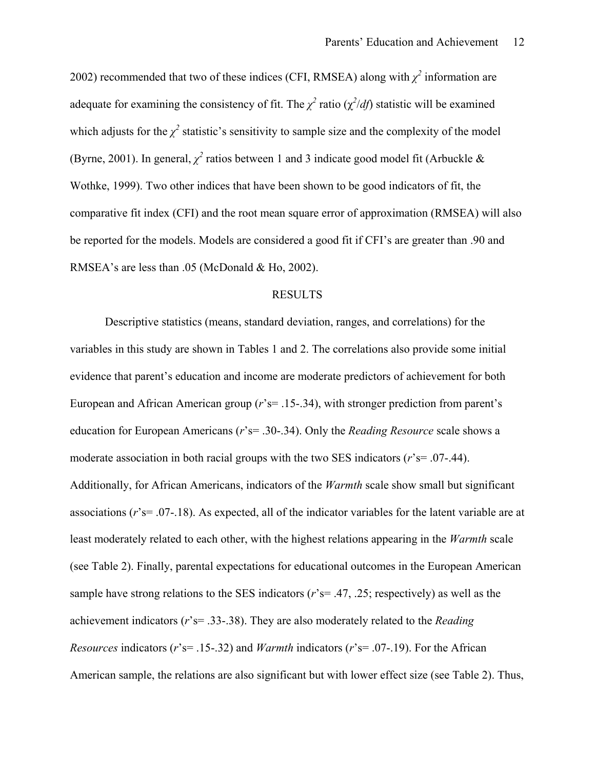2002) recommended that two of these indices (CFI, RMSEA) along with  $\chi^2$  information are adequate for examining the consistency of fit. The  $\chi^2$  ratio ( $\chi^2/df$ ) statistic will be examined which adjusts for the  $\chi^2$  statistic's sensitivity to sample size and the complexity of the model (Byrne, 2001). In general,  $\chi^2$  ratios between 1 and 3 indicate good model fit (Arbuckle & Wothke, 1999). Two other indices that have been shown to be good indicators of fit, the comparative fit index (CFI) and the root mean square error of approximation (RMSEA) will also be reported for the models. Models are considered a good fit if CFI's are greater than .90 and RMSEA's are less than .05 (McDonald & Ho, 2002).

# RESULTS

Descriptive statistics (means, standard deviation, ranges, and correlations) for the variables in this study are shown in Tables 1 and 2. The correlations also provide some initial evidence that parent's education and income are moderate predictors of achievement for both European and African American group (*r*'s= .15-.34), with stronger prediction from parent's education for European Americans (*r*'s= .30-.34). Only the *Reading Resource* scale shows a moderate association in both racial groups with the two SES indicators (*r*'s= .07-.44). Additionally, for African Americans, indicators of the *Warmth* scale show small but significant associations (*r*'s= .07-.18). As expected, all of the indicator variables for the latent variable are at least moderately related to each other, with the highest relations appearing in the *Warmth* scale (see Table 2). Finally, parental expectations for educational outcomes in the European American sample have strong relations to the SES indicators (*r*'s= .47, .25; respectively) as well as the achievement indicators (*r*'s= .33-.38). They are also moderately related to the *Reading Resources* indicators (*r*'s= .15-.32) and *Warmth* indicators (*r*'s= .07-.19). For the African American sample, the relations are also significant but with lower effect size (see Table 2). Thus,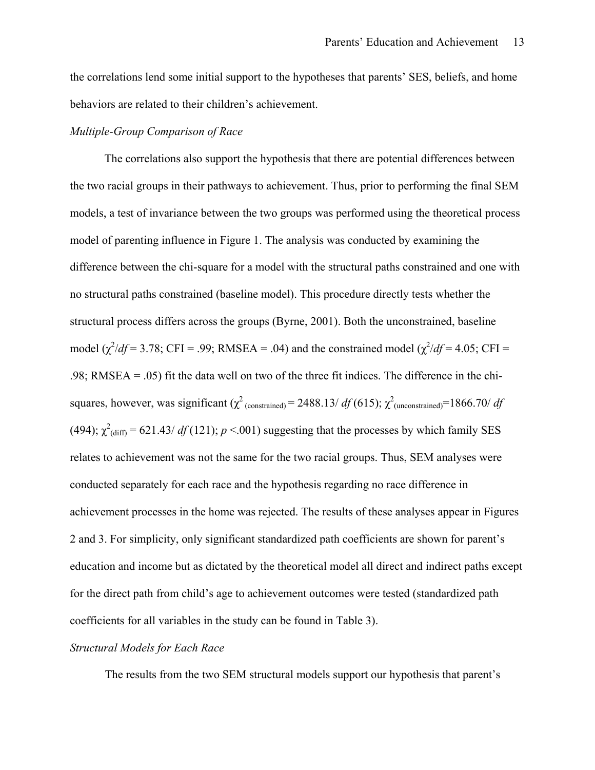the correlations lend some initial support to the hypotheses that parents' SES, beliefs, and home behaviors are related to their children's achievement.

# *Multiple-Group Comparison of Race*

The correlations also support the hypothesis that there are potential differences between the two racial groups in their pathways to achievement. Thus, prior to performing the final SEM models, a test of invariance between the two groups was performed using the theoretical process model of parenting influence in Figure 1. The analysis was conducted by examining the difference between the chi-square for a model with the structural paths constrained and one with no structural paths constrained (baseline model). This procedure directly tests whether the structural process differs across the groups (Byrne, 2001). Both the unconstrained, baseline model ( $\chi^2/df = 3.78$ ; CFI = .99; RMSEA = .04) and the constrained model ( $\chi^2/df = 4.05$ ; CFI = .98; RMSEA = .05) fit the data well on two of the three fit indices. The difference in the chisquares, however, was significant  $(\chi^2_{\text{(constrained)}} = 2488.13/\text{df}(615))$ ;  $\chi^2_{\text{(unconstrained)}} = 1866.70/\text{df}$ (494);  $\chi^2$ <sub>(diff)</sub> = 621.43/ *df* (121); *p* <.001) suggesting that the processes by which family SES relates to achievement was not the same for the two racial groups. Thus, SEM analyses were conducted separately for each race and the hypothesis regarding no race difference in achievement processes in the home was rejected. The results of these analyses appear in Figures 2 and 3. For simplicity, only significant standardized path coefficients are shown for parent's education and income but as dictated by the theoretical model all direct and indirect paths except for the direct path from child's age to achievement outcomes were tested (standardized path coefficients for all variables in the study can be found in Table 3).

# *Structural Models for Each Race*

The results from the two SEM structural models support our hypothesis that parent's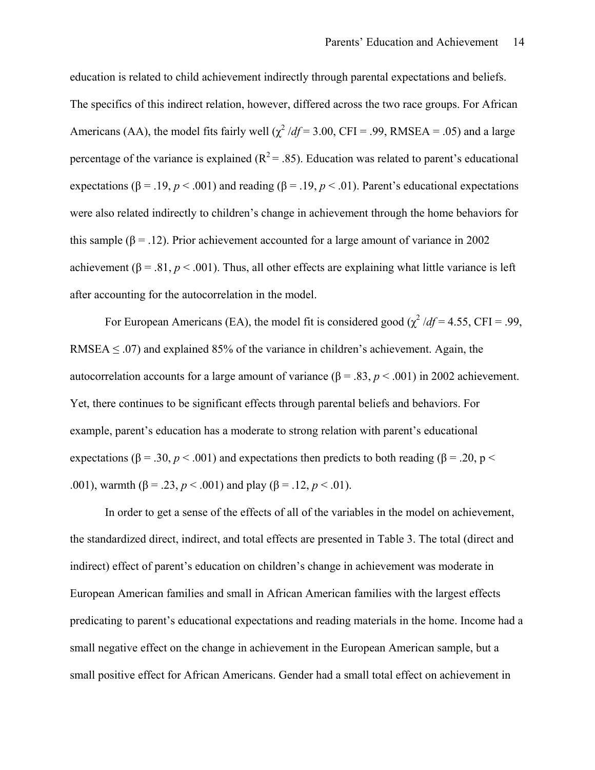education is related to child achievement indirectly through parental expectations and beliefs. The specifics of this indirect relation, however, differed across the two race groups. For African Americans (AA), the model fits fairly well  $\left(\chi^2/df = 3.00\right)$ , CFI = .99, RMSEA = .05) and a large percentage of the variance is explained  $(R^2 = .85)$ . Education was related to parent's educational expectations ( $\beta$  = .19, *p* < .001) and reading ( $\beta$  = .19, *p* < .01). Parent's educational expectations were also related indirectly to children's change in achievement through the home behaviors for this sample ( $\beta$  = .12). Prior achievement accounted for a large amount of variance in 2002 achievement ( $\beta = .81, p < .001$ ). Thus, all other effects are explaining what little variance is left after accounting for the autocorrelation in the model.

For European Americans (EA), the model fit is considered good  $(\chi^2/df = 4.55, CFI = .99,$ RMSEA  $\leq$  .07) and explained 85% of the variance in children's achievement. Again, the autocorrelation accounts for a large amount of variance  $(β = .83, p < .001)$  in 2002 achievement. Yet, there continues to be significant effects through parental beliefs and behaviors. For example, parent's education has a moderate to strong relation with parent's educational expectations ( $\beta$  = .30, *p* < .001) and expectations then predicts to both reading ( $\beta$  = .20, p < .001), warmth (β = .23,  $p < .001$ ) and play (β = .12,  $p < .01$ ).

In order to get a sense of the effects of all of the variables in the model on achievement, the standardized direct, indirect, and total effects are presented in Table 3. The total (direct and indirect) effect of parent's education on children's change in achievement was moderate in European American families and small in African American families with the largest effects predicating to parent's educational expectations and reading materials in the home. Income had a small negative effect on the change in achievement in the European American sample, but a small positive effect for African Americans. Gender had a small total effect on achievement in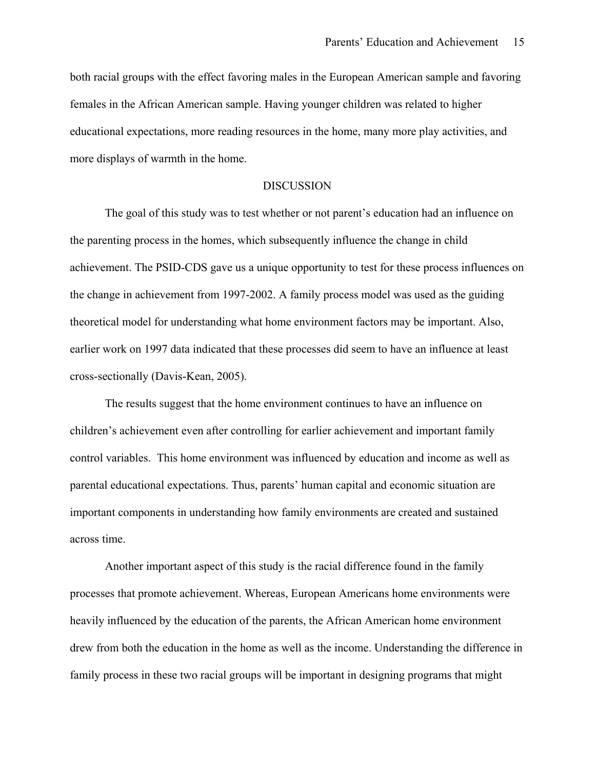both racial groups with the effect favoring males in the European American sample and favoring females in the African American sample. Having younger children was related to higher educational expectations, more reading resources in the home, many more play activities, and more displays of warmth in the home.

### DISCUSSION

The goal of this study was to test whether or not parent's education had an influence on the parenting process in the homes, which subsequently influence the change in child achievement. The PSID-CDS gave us a unique opportunity to test for these process influences on the change in achievement from 1997-2002. A family process model was used as the guiding theoretical model for understanding what home environment factors may be important. Also, earlier work on 1997 data indicated that these processes did seem to have an influence at least cross-sectionally (Davis-Kean, 2005).

The results suggest that the home environment continues to have an influence on children's achievement even after controlling for earlier achievement and important family control variables. This home environment was influenced by education and income as well as parental educational expectations. Thus, parents' human capital and economic situation are important components in understanding how family environments are created and sustained across time.

 Another important aspect of this study is the racial difference found in the family processes that promote achievement. Whereas, European Americans home environments were heavily influenced by the education of the parents, the African American home environment drew from both the education in the home as well as the income. Understanding the difference in family process in these two racial groups will be important in designing programs that might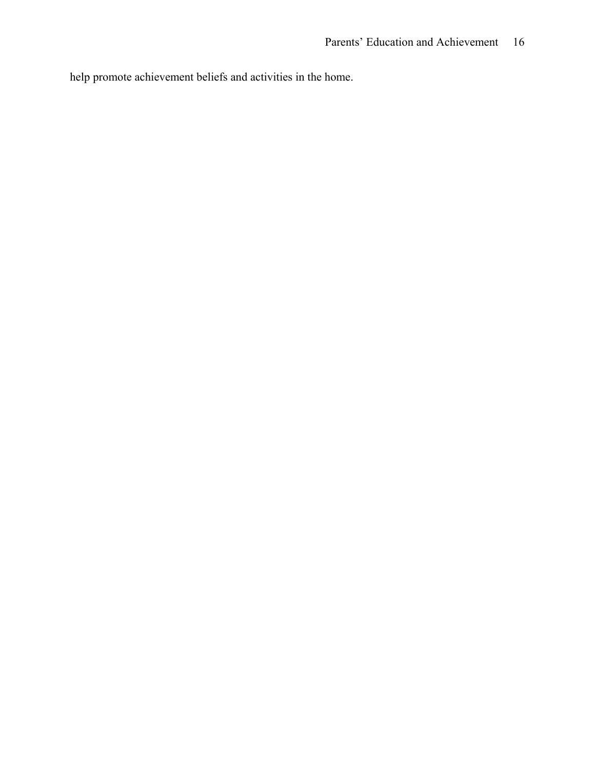help promote achievement beliefs and activities in the home.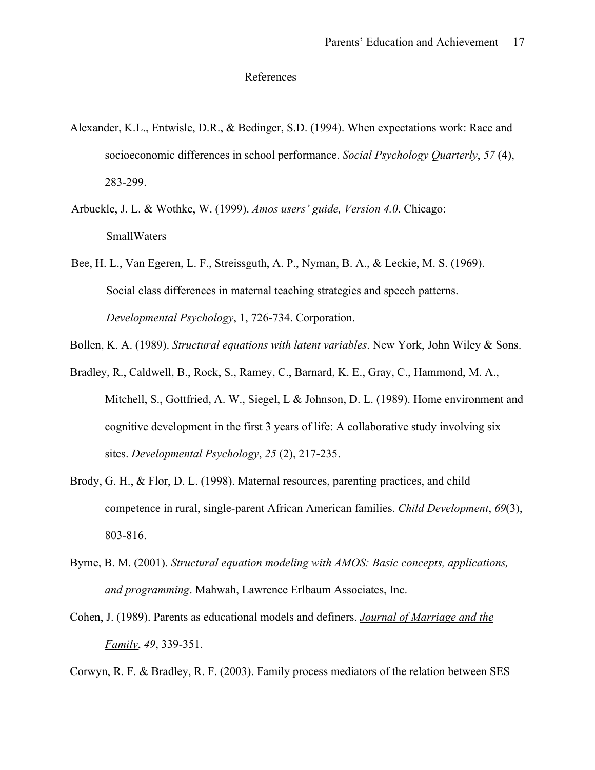## References

- Alexander, K.L., Entwisle, D.R., & Bedinger, S.D. (1994). When expectations work: Race and socioeconomic differences in school performance. *Social Psychology Quarterly*, *57* (4), 283-299.
- Arbuckle, J. L. & Wothke, W. (1999). *Amos users' guide, Version 4.0*. Chicago: SmallWaters
- Bee, H. L., Van Egeren, L. F., Streissguth, A. P., Nyman, B. A., & Leckie, M. S. (1969). Social class differences in maternal teaching strategies and speech patterns. *Developmental Psychology*, 1, 726-734. Corporation.

Bollen, K. A. (1989). *Structural equations with latent variables*. New York, John Wiley & Sons.

- Bradley, R., Caldwell, B., Rock, S., Ramey, C., Barnard, K. E., Gray, C., Hammond, M. A., Mitchell, S., Gottfried, A. W., Siegel, L & Johnson, D. L. (1989). Home environment and cognitive development in the first 3 years of life: A collaborative study involving six sites. *Developmental Psychology*, *25* (2), 217-235.
- Brody, G. H., & Flor, D. L. (1998). Maternal resources, parenting practices, and child competence in rural, single-parent African American families. *Child Development*, *69*(3), 803-816.
- Byrne, B. M. (2001). *Structural equation modeling with AMOS: Basic concepts, applications, and programming*. Mahwah, Lawrence Erlbaum Associates, Inc.
- Cohen, J. (1989). Parents as educational models and definers. *Journal of Marriage and the Family*, *49*, 339-351.

Corwyn, R. F. & Bradley, R. F. (2003). Family process mediators of the relation between SES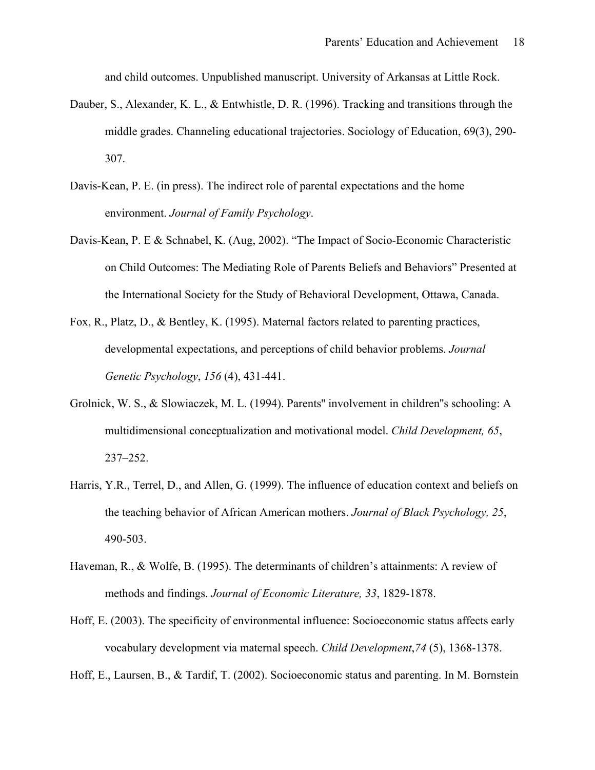and child outcomes. Unpublished manuscript. University of Arkansas at Little Rock.

- Dauber, S., Alexander, K. L., & Entwhistle, D. R. (1996). Tracking and transitions through the middle grades. Channeling educational trajectories. Sociology of Education, 69(3), 290- 307.
- Davis-Kean, P. E. (in press). The indirect role of parental expectations and the home environment. *Journal of Family Psychology*.
- Davis-Kean, P. E & Schnabel, K. (Aug, 2002). "The Impact of Socio-Economic Characteristic on Child Outcomes: The Mediating Role of Parents Beliefs and Behaviors" Presented at the International Society for the Study of Behavioral Development, Ottawa, Canada.
- Fox, R., Platz, D., & Bentley, K. (1995). Maternal factors related to parenting practices, developmental expectations, and perceptions of child behavior problems. *Journal Genetic Psychology*, *156* (4), 431-441.
- Grolnick, W. S., & Slowiaczek, M. L. (1994). Parents'' involvement in children''s schooling: A multidimensional conceptualization and motivational model. *Child Development, 65*, 237–252.
- Harris, Y.R., Terrel, D., and Allen, G. (1999). The influence of education context and beliefs on the teaching behavior of African American mothers. *Journal of Black Psychology, 25*, 490-503.
- Haveman, R., & Wolfe, B. (1995). The determinants of children's attainments: A review of methods and findings. *Journal of Economic Literature, 33*, 1829-1878.
- Hoff, E. (2003). The specificity of environmental influence: Socioeconomic status affects early vocabulary development via maternal speech. *Child Development*,*74* (5), 1368-1378.

Hoff, E., Laursen, B., & Tardif, T. (2002). Socioeconomic status and parenting. In M. Bornstein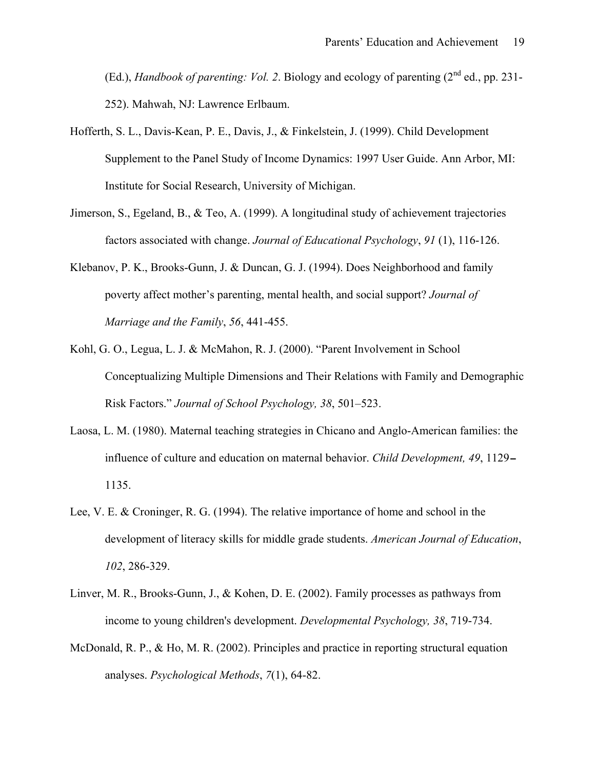(Ed.), *Handbook of parenting: Vol. 2.* Biology and ecology of parenting  $(2^{nd}$  ed., pp. 231-252). Mahwah, NJ: Lawrence Erlbaum.

- Hofferth, S. L., Davis-Kean, P. E., Davis, J., & Finkelstein, J. (1999). Child Development Supplement to the Panel Study of Income Dynamics: 1997 User Guide. Ann Arbor, MI: Institute for Social Research, University of Michigan.
- Jimerson, S., Egeland, B., & Teo, A. (1999). A longitudinal study of achievement trajectories factors associated with change. *Journal of Educational Psychology*, *91* (1), 116-126.
- Klebanov, P. K., Brooks-Gunn, J. & Duncan, G. J. (1994). Does Neighborhood and family poverty affect mother's parenting, mental health, and social support? *Journal of Marriage and the Family*, *56*, 441-455.
- Kohl, G. O., Legua, L. J. & McMahon, R. J. (2000). "Parent Involvement in School Conceptualizing Multiple Dimensions and Their Relations with Family and Demographic Risk Factors." *Journal of School Psychology, 38*, 501–523.
- Laosa, L. M. (1980). Maternal teaching strategies in Chicano and Anglo-American families: the influence of culture and education on maternal behavior. *Child Development, 49*, 1129 1135.
- Lee, V. E. & Croninger, R. G. (1994). The relative importance of home and school in the development of literacy skills for middle grade students. *American Journal of Education*, *102*, 286-329.
- Linver, M. R., Brooks-Gunn, J., & Kohen, D. E. (2002). Family processes as pathways from income to young children's development. *Developmental Psychology, 38*, 719-734.
- McDonald, R. P., & Ho, M. R. (2002). Principles and practice in reporting structural equation analyses. *Psychological Methods*, *7*(1), 64-82.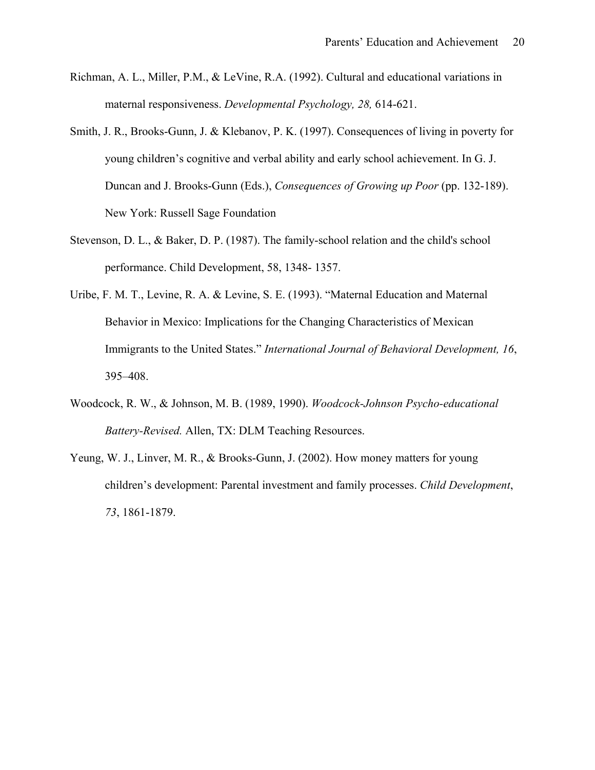- Richman, A. L., Miller, P.M., & LeVine, R.A. (1992). Cultural and educational variations in maternal responsiveness. *Developmental Psychology, 28,* 614-621.
- Smith, J. R., Brooks-Gunn, J. & Klebanov, P. K. (1997). Consequences of living in poverty for young children's cognitive and verbal ability and early school achievement. In G. J. Duncan and J. Brooks-Gunn (Eds.), *Consequences of Growing up Poor* (pp. 132-189). New York: Russell Sage Foundation
- Stevenson, D. L., & Baker, D. P. (1987). The family-school relation and the child's school performance. Child Development, 58, 1348- 1357.
- Uribe, F. M. T., Levine, R. A. & Levine, S. E. (1993). "Maternal Education and Maternal Behavior in Mexico: Implications for the Changing Characteristics of Mexican Immigrants to the United States." *International Journal of Behavioral Development, 16*, 395–408.
- Woodcock, R. W., & Johnson, M. B. (1989, 1990). *Woodcock-Johnson Psycho-educational Battery-Revised.* Allen, TX: DLM Teaching Resources.
- Yeung, W. J., Linver, M. R., & Brooks-Gunn, J. (2002). How money matters for young children's development: Parental investment and family processes. *Child Development*, *73*, 1861-1879.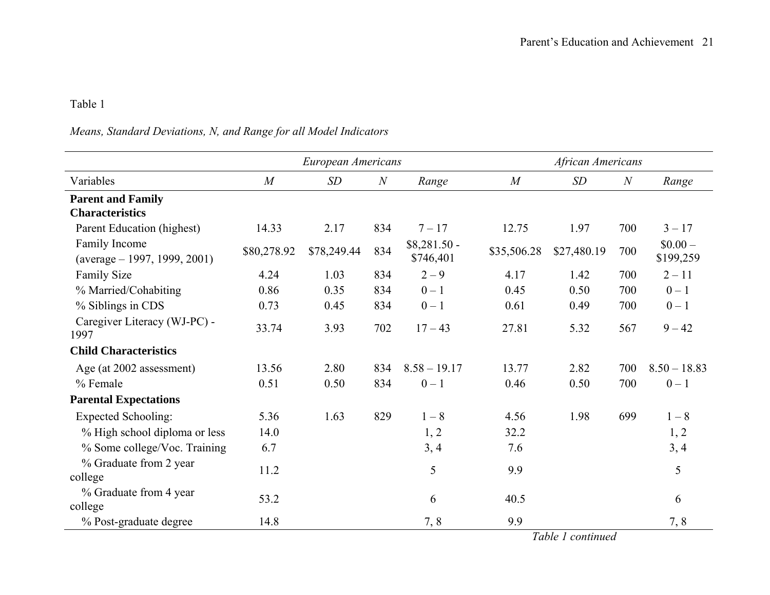### Table 1

# *Means, Standard Deviations, N, and Range for all Model Indicators*

|                                                        |                | European Americans |                |                            | African Americans |             |     |                       |  |  |  |
|--------------------------------------------------------|----------------|--------------------|----------------|----------------------------|-------------------|-------------|-----|-----------------------|--|--|--|
| Variables                                              | $\overline{M}$ | SD                 | $\overline{N}$ | Range                      | $\overline{M}$    | SD          | N   | Range                 |  |  |  |
| <b>Parent and Family</b><br><b>Characteristics</b>     |                |                    |                |                            |                   |             |     |                       |  |  |  |
| Parent Education (highest)                             | 14.33          | 2.17               | 834            | $7 - 17$                   | 12.75             | 1.97        | 700 | $3 - 17$              |  |  |  |
| Family Income<br>$(\text{average} - 1997, 1999, 2001)$ | \$80,278.92    | \$78,249.44        | 834            | $$8,281.50 -$<br>\$746,401 | \$35,506.28       | \$27,480.19 | 700 | $$0.00-$<br>\$199,259 |  |  |  |
| <b>Family Size</b>                                     | 4.24           | 1.03               | 834            | $2 - 9$                    | 4.17              | 1.42        | 700 | $2 - 11$              |  |  |  |
| % Married/Cohabiting                                   | 0.86           | 0.35               | 834            | $0 - 1$                    | 0.45              | 0.50        | 700 | $0 - 1$               |  |  |  |
| % Siblings in CDS                                      | 0.73           | 0.45               | 834            | $0 - 1$                    | 0.61              | 0.49        | 700 | $0 - 1$               |  |  |  |
| Caregiver Literacy (WJ-PC) -<br>1997                   | 33.74          | 3.93               | 702            | $17 - 43$                  | 27.81             | 5.32        | 567 | $9 - 42$              |  |  |  |
| <b>Child Characteristics</b>                           |                |                    |                |                            |                   |             |     |                       |  |  |  |
| Age (at 2002 assessment)                               | 13.56          | 2.80               | 834            | $8.58 - 19.17$             | 13.77             | 2.82        | 700 | $8.50 - 18.83$        |  |  |  |
| % Female                                               | 0.51           | 0.50               | 834            | $0 - 1$                    | 0.46              | 0.50        | 700 | $0-1$                 |  |  |  |
| <b>Parental Expectations</b>                           |                |                    |                |                            |                   |             |     |                       |  |  |  |
| <b>Expected Schooling:</b>                             | 5.36           | 1.63               | 829            | $1 - 8$                    | 4.56              | 1.98        | 699 | $1 - 8$               |  |  |  |
| % High school diploma or less                          | 14.0           |                    |                | 1, 2                       | 32.2              |             |     | 1, 2                  |  |  |  |
| % Some college/Voc. Training                           | 6.7            |                    |                | 3, 4                       | 7.6               |             |     | 3, 4                  |  |  |  |
| % Graduate from 2 year<br>college                      | 11.2           |                    |                | 5                          | 9.9               |             |     | 5                     |  |  |  |
| % Graduate from 4 year<br>college                      | 53.2           |                    |                | 6                          | 40.5              |             |     | 6                     |  |  |  |
| % Post-graduate degree                                 | 14.8           |                    |                | 7,8                        | 9.9               |             |     | 7,8                   |  |  |  |

*Table 1 continued*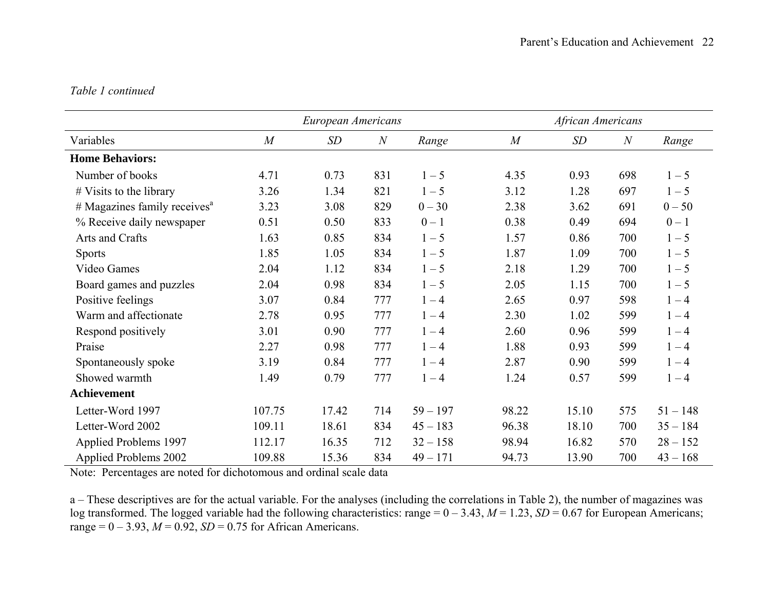## *Table 1 continued*

|                                            |                | European Americans |              |            | African Americans |       |                |            |  |  |  |  |
|--------------------------------------------|----------------|--------------------|--------------|------------|-------------------|-------|----------------|------------|--|--|--|--|
| Variables                                  | $\overline{M}$ | SD                 | $\mathcal N$ | Range      | $\overline{M}$    | SD    | $\overline{N}$ | Range      |  |  |  |  |
| <b>Home Behaviors:</b>                     |                |                    |              |            |                   |       |                |            |  |  |  |  |
| Number of books                            | 4.71           | 0.73               | 831          | $1 - 5$    | 4.35              | 0.93  | 698            | $1 - 5$    |  |  |  |  |
| $#$ Visits to the library                  | 3.26           | 1.34               | 821          | $1 - 5$    | 3.12              | 1.28  | 697            | $1 - 5$    |  |  |  |  |
| $#$ Magazines family receives <sup>a</sup> | 3.23           | 3.08               | 829          | $0 - 30$   | 2.38              | 3.62  | 691            | $0 - 50$   |  |  |  |  |
| % Receive daily newspaper                  | 0.51           | 0.50               | 833          | $0 - 1$    | 0.38              | 0.49  | 694            | $0 - 1$    |  |  |  |  |
| Arts and Crafts                            | 1.63           | 0.85               | 834          | $1 - 5$    | 1.57              | 0.86  | 700            | $1 - 5$    |  |  |  |  |
| <b>Sports</b>                              | 1.85           | 1.05               | 834          | $1 - 5$    | 1.87              | 1.09  | 700            | $1 - 5$    |  |  |  |  |
| Video Games                                | 2.04           | 1.12               | 834          | $1 - 5$    | 2.18              | 1.29  | 700            | $1 - 5$    |  |  |  |  |
| Board games and puzzles                    | 2.04           | 0.98               | 834          | $1 - 5$    | 2.05              | 1.15  | 700            | $1 - 5$    |  |  |  |  |
| Positive feelings                          | 3.07           | 0.84               | 777          | $1 - 4$    | 2.65              | 0.97  | 598            | $1 - 4$    |  |  |  |  |
| Warm and affectionate                      | 2.78           | 0.95               | 777          | $1 - 4$    | 2.30              | 1.02  | 599            | $1 - 4$    |  |  |  |  |
| Respond positively                         | 3.01           | 0.90               | 777          | $1 - 4$    | 2.60              | 0.96  | 599            | $1 - 4$    |  |  |  |  |
| Praise                                     | 2.27           | 0.98               | 777          | $1 - 4$    | 1.88              | 0.93  | 599            | $1 - 4$    |  |  |  |  |
| Spontaneously spoke                        | 3.19           | 0.84               | 777          | $1 - 4$    | 2.87              | 0.90  | 599            | $1 - 4$    |  |  |  |  |
| Showed warmth                              | 1.49           | 0.79               | 777          | $1 - 4$    | 1.24              | 0.57  | 599            | $1 - 4$    |  |  |  |  |
| <b>Achievement</b>                         |                |                    |              |            |                   |       |                |            |  |  |  |  |
| Letter-Word 1997                           | 107.75         | 17.42              | 714          | $59 - 197$ | 98.22             | 15.10 | 575            | $51 - 148$ |  |  |  |  |
| Letter-Word 2002                           | 109.11         | 18.61              | 834          | $45 - 183$ | 96.38             | 18.10 | 700            | $35 - 184$ |  |  |  |  |
| Applied Problems 1997                      | 112.17         | 16.35              | 712          | $32 - 158$ | 98.94             | 16.82 | 570            | $28 - 152$ |  |  |  |  |
| Applied Problems 2002                      | 109.88         | 15.36              | 834          | $49 - 171$ | 94.73             | 13.90 | 700            | $43 - 168$ |  |  |  |  |

Note: Percentages are noted for dichotomous and ordinal scale data

a – These descriptives are for the actual variable. For the analyses (including the correlations in Table 2), the number of magazines was log transformed. The logged variable had the following characteristics: range = 0 – 3.43, *M* = 1.23, *SD* = 0.67 for European Americans; range =  $0 - 3.93$ ,  $M = 0.92$ ,  $SD = 0.75$  for African Americans.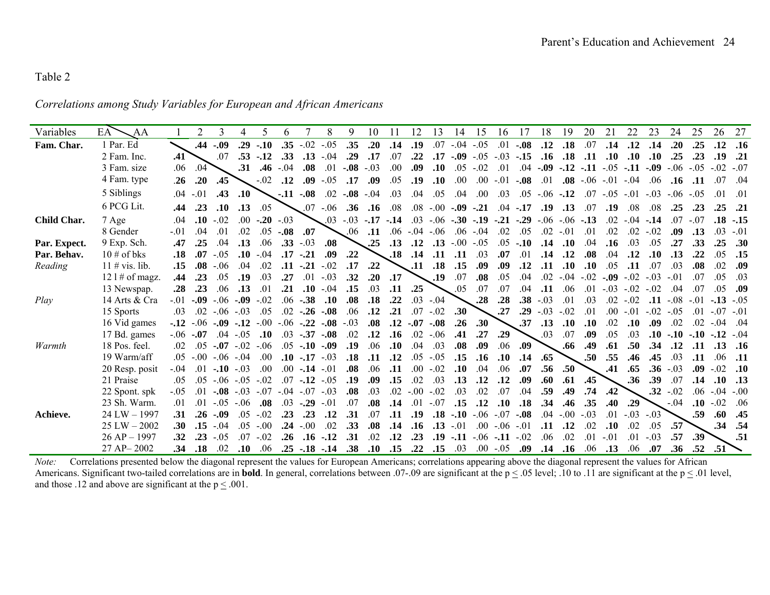### Table 2

*Correlations among Study Variables for European and African Americans* 

| Variables    | EA <sup>-</sup><br>AA |        | 2                 |        | 4                | 5           | 6               |               | 8           | 9                 | 10     |         | 12        | 13          | 14         | 15             | 16          |               | 18     | 19         | 20     | 21      | 22         | 23     | 24         | 25               | 26         | 27        |
|--------------|-----------------------|--------|-------------------|--------|------------------|-------------|-----------------|---------------|-------------|-------------------|--------|---------|-----------|-------------|------------|----------------|-------------|---------------|--------|------------|--------|---------|------------|--------|------------|------------------|------------|-----------|
| Fam. Char.   | 1 Par. Ed             |        | .44               | .09    | .29              | $-.10$      | .35             | $-.02$        | $-.05$      | .35               | .20    | .14     | .19       | .07         | $-.04$     | $-.05$         | .01         | $-.08$        | .12    | .18        | .07    | .14     | .12        | .14    | .20        | .25              | .12        | .16       |
|              | 2 Fam. Inc.           | .41    |                   | .07    |                  | $.53 - .12$ | .33             | .13           | $-.04$      | .29               | .17    | .07     | .22       | .17         |            | $-0.09 - 0.05$ | $-.03$      | $-.15$        | .16    | .18        | .11    | .10     | .10        | .10    | .25        | .23              | .19        | .21       |
|              | 3 Fam. size           | .06    | .04               |        | .31              | .46         | $-.04$          | .08           | .01         | $-.08$            | $-.03$ | .00     | .09       | .10         | .05        | $-.02$         | .01         | .04           | $-.09$ | $-.12$     | $-.11$ | $-.05$  | $-.11$     | $-.09$ | $-.06$     | $-.05$           | $-.02-.07$ |           |
|              | 4 Fam. type           | .26    | .20               | .45    |                  | $-.02$      | .12             | .09           | $-.05$      | .17               | .09    | .05     | .19       | .10         | .00.       | .00.           | $-.01$      | $-.08$        | .01    | .08        | $-.06$ | $-.01$  | $-.04$     | .06    | .16        | .11              | .07        | .04       |
|              | 5 Siblings            |        | $.04 - .01$       | .43    | .10              |             |                 | $-.11-.08$    | .02         | $-0.08 - 0.04$    |        | .03     | .04       | .05         | .04        | .00.           | .03         | .05           | $-.06$ | $-.12$     | .07    | $-.05$  | $-.01$     | $-.03$ | $-.06-.05$ |                  | .01        | .01       |
|              | 6 PCG Lit.            | .44    | .23               | .10    | .13              | .05         |                 |               | $.07 - .06$ | .36               | .16    | .08     | .08       | $-.00$      | $-.09$     | $-.21$         | .04         | $-.17$        | .19    | .13        | .07    | .19     | .08        | .08    | .25        | .23              | .25        | .21       |
| Child Char.  | 7 Age                 | .04    | .10               | $-.02$ | .00 <sub>1</sub> | $-20 - 03$  |                 |               |             | $.03 - .03 - .17$ |        | $-14$   | .03       | $-.06$      | $-.30-.19$ |                |             | $-.21-.29$    |        | $-.06-.06$ | $-.13$ | $.02\,$ | $-.04$     | $-14$  | .07        | $-.07$           |            | $.18-.15$ |
|              | 8 Gender              | $-.01$ | .04               | .01    | .02              | .05         | $-0.08$         | .07           |             | .06               | .11    | .06     | $-.04$    | $-.06$      | .06        | $-.04$         | .02         | .05           | .02    | $-.01$     | .01    | .02     | .02        | $-.02$ | .09        | .13              | .03        | $-.01$    |
| Par. Expect. | 9 Exp. Sch.           | .47    | .25               | .04    | .13              | .06         | .33             | $-.03$        | .08         |                   | .25    | .13     | .12       | .13         | $-00^{-}$  | $-.05$         | .05         | $-.10$        | .14    | .10        | .04    | .16     | .03        | .05    | .27        | .33              | .25        | .30       |
| Par. Behav.  | $10 \#$ of bks        | .18    | .07               | $-.05$ | .10              | $-.04$      | .17             | $-.21$        | .09         | .22               |        | .18     | .14       | .11         | .11        | .03            | .07         | .01           | .14    | .12        | .08    | .04     | .12        | .10    | .13        | .22              | .05        | .15       |
| Reading      | $11 \# vis. lib.$     | .15    | .08               | $-.06$ | .04              | .02         | .11             | $-.21$        | $-.02$      | .17               | .22    |         | .11       | .18         | .15        | .09            | .09         | .12           | .11    | .10        | .10    | .05     | .11        | .07    | .03        | .08              | .02        | .09       |
|              | $121 \#$ of magz.     | .44    | .23               | .05    | .19              | .03         | .27             | .01           | $-.03$      | .32               | .20    | .17     |           | .19         | .07        | .08            | .05         | .04           | .02    | $-.04$     | $-.02$ | $-.09$  | $-.02$     | $-.03$ | $-.01$     | .07              | .05        | .03       |
|              | 13 Newspap.           | .28    | .23               | .06    | .13              | .01         | .21             | .10           | $-.04$      | .15               | .03    | .11     | .25       |             | .05        | .07            | .07         | .04           | .11    | .06        | .01    | $-.03$  | $-.02$     | $-.02$ | .04        | .07              | .05        | .09       |
| Play         | 14 Arts & Cra         | $-.01$ | $-0.09$           | $-06$  | $-.09$           | $-.02$      | .06             | $-.38$        | .10         | .08               | .18    | .22     |           | $.03 - .04$ |            | .28            | .28         | .38           | $-.03$ | .01        | .03    | .02     | $-.02$     | .11    | $-.08$     | $-.01$           | $-13 - 05$ |           |
|              | 15 Sports             | .03    | $.02\,$           | $-.06$ | $-.03$           | .05         | $.02\,$         | $-.26$        | $-.08$      | .06               | .12    | .21     | .07       | $-.02$      | .30        |                | .27         | .29           | $-.03$ | $-.02$     | .01    | .00.    | $-.01$     | $-.02$ | $-.05$     | .01              |            | $-.01$    |
|              | 16 Vid games          | $-12$  | $-06$             | $-.09$ | $-12$            | $-00^{-}$   | $-06$           | $-.22$        | $-.08$      | $-.03$            | .08    | .12     | $-.07$    | $-.08$      | .26        | .30            |             | .37           | .13    | .10        | .10    | .02     | .10        | .09    | .02        | .02              | $-.04$     | .04       |
|              | 17 Bd. games          | $-.06$ | $-.07$            | .04    | $-.05$           | .10         | $.03\,$         | $-.37$        | $-.08$      | .02               | .12    | .16     |           | $.02 - .06$ | .41        | .27            | .29         |               | .03    | .07        | .09    | .05     | .03        | .10    | $-.10$     | $-.10$           | $-12 - 04$ |           |
| Warmth       | 18 Pos. feel.         | .02    | .05               | $-.07$ | $-.02$           | $-.06$      | .05             | $-.10$        | $-.09$      | .19               | .06    | .10     | .04       | .03         | .08        | .09            | .06         | .09           |        | .66        | .49    | .61     | .50        | .34    | .12        | .11              | .13        | .16       |
|              | 19 Warm/aff           | .05    | $-0.00$           | $-.06$ | $-.04$           | .00         | .10             | $-17$         | $-.03$      | .18               | .11    | .12     | .05       | $-.05$      | .15        | .16            | .10         | .14           | .65    |            | .50    | .55     | .46        | .45    | .03        | .11              | .06        | .11       |
|              | 20 Resp. posit        | $-.04$ | .01               | $-.10$ | - 03             | .00         | 00 <sup>1</sup> | $-.14$        | $-01$       | .08               | .06    | .11     | .00.      | $-.02$      | .10        | .04            | .06         | .07           | .56    | .50        |        | .41     | .65        | .36    | $-.03$     | .09              | $-.02$     | .10       |
|              | 21 Praise             | .05    | .05               | $-.06$ | $-.05$           | $-.02$      | .07             | $-.12$        | $-.05$      | .19               | .09    | .15     | .02       | .03         | .13        | .12            | .12         | .09           | .60    | .61        | .45    |         | .36        | .39    | .07        | .14              | .10        | .13       |
|              | 22 Spont. spk         | $-.05$ | .01               | $-.08$ | $-03$            | $-07$       | $-04$           | $-07$         | $-.03$      | .08               | .03    | $.02\,$ | $-00^{-}$ | $-.02$      | .03        | .02            | .07         | .04           | .59    | .49        | .74    | .42     |            | .32    | $-.02$     | .06              | $-.04$     | $-.00$    |
|              | 23 Sh. Warm.          | .01    | .01               | $-0.5$ | $-.06$           | .08         | .03             | $-.29$        | $-.01$      | .07               | .08    | .14     | .01       | $-.07$      | .15        | .12            | .10         | .18           | .34    | .46        | .35    | .40     | .29        |        | $-.04$     | .10              | $-.02$     | .06       |
| Achieve.     | $24$ LW $-$ 1997      | .31    | .26               | $-.09$ | .05              | $-.02$      | .23             | .23           | .12         | .31               | .07    | .11     | .19       | .18         | $-.10$     | $-.06$         | $-.07$      | $-.08$        | .04    | $-.00$     | $-.03$ | .01     | $-.03-.03$ |        |            | .59              | .60        | .45       |
|              | $25 LW - 2002$        | .30    | .15               | $-.04$ | .05              | $-.00$      | .24             | $-00$         | .02         | .33               | .08    | .14     | .16       | .13         | $-.01$     | .00.           | $-.06$      | $-.0^{\circ}$ | .11    | .12        | .02    | .10     | .02        | .05    | .57        |                  | .34        | .54       |
|              | $26 AP - 1997$        | .32    | $.23\phantom{.0}$ | $-.05$ | .07              | $-.02$      | .26             | .16           | $-.12$      | .31               | .02    | .12     | .23       | .19         | $-.11$     | $-.06$         | $-.11$      | $-.02$        | .06    | .02        | .01    | $-.01$  | .01        | $-.03$ | .57        | .39 <sup>°</sup> |            | .51       |
|              | 27 AP-2002            | .34    | .18               | .02    | .10              | .06         |                 | $.25-.18-.14$ |             | .38               | .10    | .15     | .22       | .15         | .03        |                | $.00 - .05$ | .09           | .14    | .16        | .06    | .13     | .06        | .07    | .36        | .52              | .51        |           |

*Note:* Correlations presented below the diagonal represent the values for European Americans; correlations appearing above the diagonal represent the values for African Americans. Significant two-tailed correlations are in **bold**. In general, correlations between .07-.09 are significant at the  $p \le 0.05$  level; .10 to .11 are significant at the  $p \le 01$  level, and those .12 and above are significant at the  $p \leq .001$ .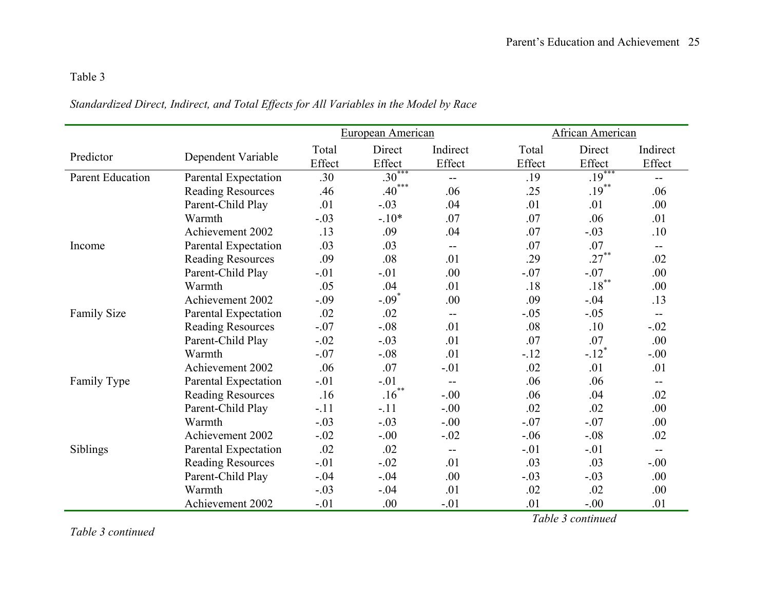# Table 3

# *Standardized Direct, Indirect, and Total Effects for All Variables in the Model by Race*

|                         |                          |        | European American |          |        | <b>African American</b> |          |  |  |  |  |  |  |
|-------------------------|--------------------------|--------|-------------------|----------|--------|-------------------------|----------|--|--|--|--|--|--|
|                         |                          | Total  | Direct            | Indirect | Total  | Direct                  | Indirect |  |  |  |  |  |  |
| Predictor               | Dependent Variable       | Effect | Effect            | Effect   | Effect | Effect                  | Effect   |  |  |  |  |  |  |
| <b>Parent Education</b> | Parental Expectation     | .30    | $.30***$          | $- -$    | .19    | $.19***$                | $-$      |  |  |  |  |  |  |
|                         | <b>Reading Resources</b> | .46    | $.40***$          | .06      | .25    | $.19***$                | .06      |  |  |  |  |  |  |
|                         | Parent-Child Play        | .01    | $-.03$            | .04      | .01    | .01                     | .00.     |  |  |  |  |  |  |
|                         | Warmth                   | $-.03$ | $-.10*$           | .07      | .07    | .06                     | .01      |  |  |  |  |  |  |
|                         | Achievement 2002         | .13    | .09               | .04      | .07    | $-.03$                  | .10      |  |  |  |  |  |  |
| Income                  | Parental Expectation     | .03    | .03               | $- -$    | .07    | .07                     | $- -$    |  |  |  |  |  |  |
|                         | <b>Reading Resources</b> | .09    | .08               | .01      | .29    | $.27***$                | .02      |  |  |  |  |  |  |
|                         | Parent-Child Play        | $-.01$ | $-.01$            | .00      | $-.07$ | $-.07$                  | .00      |  |  |  |  |  |  |
|                         | Warmth                   | .05    | .04               | .01      | .18    | $.18***$                | .00      |  |  |  |  |  |  |
|                         | Achievement 2002         | $-.09$ | $-.09*$           | .00      | .09    | $-.04$                  | .13      |  |  |  |  |  |  |
| <b>Family Size</b>      | Parental Expectation     | .02    | .02               | --       | $-.05$ | $-.05$                  | $-$      |  |  |  |  |  |  |
|                         | <b>Reading Resources</b> | $-.07$ | $-.08$            | .01      | .08    | .10                     | $-.02$   |  |  |  |  |  |  |
|                         | Parent-Child Play        | $-.02$ | $-.03$            | .01      | .07    | .07                     | .00      |  |  |  |  |  |  |
|                         | Warmth                   | $-.07$ | $-.08$            | .01      | $-.12$ | $-.12$ <sup>*</sup>     | $-0.00$  |  |  |  |  |  |  |
|                         | Achievement 2002         | .06    | .07               | $-.01$   | .02    | .01                     | .01      |  |  |  |  |  |  |
| Family Type             | Parental Expectation     | $-.01$ | $-.01$            | $-$      | .06    | .06                     | $-$      |  |  |  |  |  |  |
|                         | <b>Reading Resources</b> | .16    | $.16***$          | $-.00$   | .06    | .04                     | .02      |  |  |  |  |  |  |
|                         | Parent-Child Play        | $-.11$ | $-.11$            | $-.00$   | .02    | .02                     | .00      |  |  |  |  |  |  |
|                         | Warmth                   | $-.03$ | $-.03$            | $-.00$   | $-.07$ | $-.07$                  | .00      |  |  |  |  |  |  |
|                         | Achievement 2002         | $-.02$ | $-.00$            | $-.02$   | $-.06$ | $-.08$                  | .02      |  |  |  |  |  |  |
| Siblings                | Parental Expectation     | .02    | .02               | $-$      | $-.01$ | $-.01$                  |          |  |  |  |  |  |  |
|                         | <b>Reading Resources</b> | $-.01$ | $-.02$            | .01      | .03    | .03                     | $-0.00$  |  |  |  |  |  |  |
|                         | Parent-Child Play        | $-.04$ | $-.04$            | .00      | $-.03$ | $-.03$                  | .00      |  |  |  |  |  |  |
|                         | Warmth                   | $-.03$ | $-.04$            | .01      | .02    | .02                     | .00      |  |  |  |  |  |  |
|                         | Achievement 2002         | $-.01$ | .00               | $-.01$   | .01    | $-.00$                  | .01      |  |  |  |  |  |  |

*Table 3 continued*

*Table 3 continued*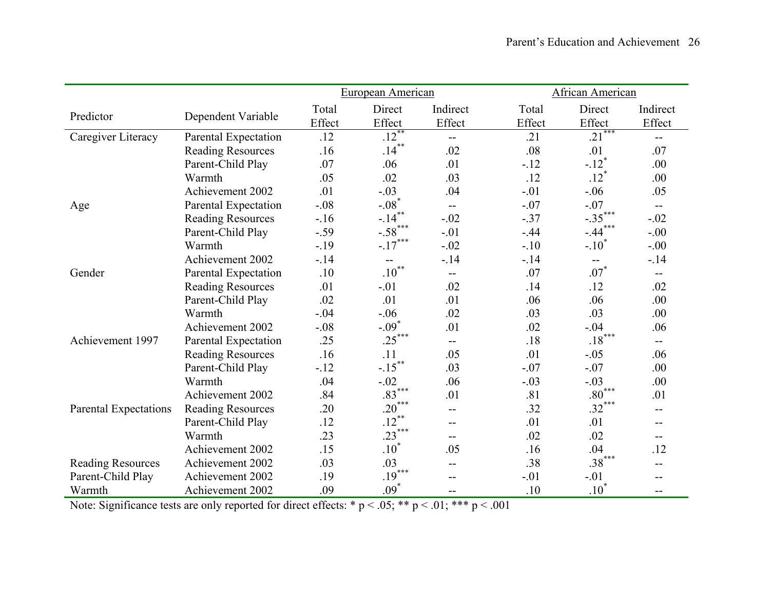|                          |                          |        | European American        |          |        | African American                              |              |  |  |  |  |  |
|--------------------------|--------------------------|--------|--------------------------|----------|--------|-----------------------------------------------|--------------|--|--|--|--|--|
|                          |                          | Total  | Direct                   | Indirect | Total  | Direct                                        | Indirect     |  |  |  |  |  |
| Predictor                | Dependent Variable       | Effect | Effect                   | Effect   | Effect | Effect                                        | Effect       |  |  |  |  |  |
| Caregiver Literacy       | Parental Expectation     | .12    | $.12***$                 | $-$      | .21    | ***<br>.21                                    | $-$          |  |  |  |  |  |
|                          | <b>Reading Resources</b> | .16    | $.14***$                 | .02      | .08    | .01                                           | .07          |  |  |  |  |  |
|                          | Parent-Child Play        | .07    | .06                      | .01      | $-12$  | $-.12$ <sup>*</sup>                           | .00          |  |  |  |  |  |
|                          | Warmth                   | .05    | .02                      | .03      | .12    | $.12$ <sup>*</sup>                            | .00          |  |  |  |  |  |
|                          | Achievement 2002         | .01    | $-.03$                   | .04      | $-.01$ | $-.06$                                        | .05          |  |  |  |  |  |
| Age                      | Parental Expectation     | $-.08$ | $-.08*$                  | $-$      | $-.07$ | $-.07$                                        | $\mathbf{u}$ |  |  |  |  |  |
|                          | <b>Reading Resources</b> | $-16$  | $-.14$                   | $-.02$   | $-.37$ | $-.35***$                                     | $-.02$       |  |  |  |  |  |
|                          | Parent-Child Play        | $-.59$ | $-.58$ ***               | $-.01$   | $-44$  | $-.44$ <sup>*</sup>                           | $-.00$       |  |  |  |  |  |
|                          | Warmth                   | $-.19$ | $-17$                    | $-.02$   | $-.10$ | $-.10^{\degree}$                              | $-0.00$      |  |  |  |  |  |
|                          | <b>Achievement 2002</b>  | $-14$  | $\overline{\phantom{m}}$ | $-14$    | $-14$  | $\mathord{\hspace{1pt}\text{--}\hspace{1pt}}$ | $-14$        |  |  |  |  |  |
| Gender                   | Parental Expectation     | .10    | $.10^{**}$               | $- -$    | .07    | $.07*$                                        | $- -$        |  |  |  |  |  |
|                          | <b>Reading Resources</b> | .01    | $-.01$                   | .02      | .14    | .12                                           | .02          |  |  |  |  |  |
|                          | Parent-Child Play        | .02    | .01                      | .01      | .06    | .06                                           | .00          |  |  |  |  |  |
|                          | Warmth                   | $-.04$ | $-.06$                   | .02      | .03    | .03                                           | .00          |  |  |  |  |  |
|                          | Achievement 2002         | $-.08$ | $-.09$ <sup>*</sup>      | .01      | .02    | $-.04$                                        | .06          |  |  |  |  |  |
| Achievement 1997         | Parental Expectation     | .25    | $.25***$                 | $-$      | .18    | $.18***$                                      | $-$          |  |  |  |  |  |
|                          | <b>Reading Resources</b> | .16    | .11                      | .05      | .01    | $-.05$                                        | .06          |  |  |  |  |  |
|                          | Parent-Child Play        | $-12$  | $-15$ **                 | .03      | $-.07$ | $-.07$                                        | .00          |  |  |  |  |  |
|                          | Warmth                   | .04    | $-.02$                   | .06      | $-.03$ | $-.03$                                        | .00          |  |  |  |  |  |
|                          | Achievement 2002         | .84    | $.83***$                 | .01      | .81    | $.80***$                                      | .01          |  |  |  |  |  |
| Parental Expectations    | <b>Reading Resources</b> | .20    | $.20***$                 | $-$      | .32    | $.32***$                                      | --           |  |  |  |  |  |
|                          | Parent-Child Play        | .12    | $.12***$                 | $-$      | .01    | .01                                           | --           |  |  |  |  |  |
|                          | Warmth                   | .23    | $.23***$                 | $- -$    | .02    | .02                                           | --           |  |  |  |  |  |
|                          | Achievement 2002         | .15    | $.10*$                   | .05      | .16    | .04                                           | .12          |  |  |  |  |  |
| <b>Reading Resources</b> | Achievement 2002         | .03    | .03                      | $-$      | .38    | $.38***$                                      | --           |  |  |  |  |  |
| Parent-Child Play        | Achievement 2002         | .19    | $.19***$                 | --       | $-.01$ | $-.01$                                        | --           |  |  |  |  |  |
| Warmth                   | Achievement 2002         | .09    | $.09*$                   | --       | .10    | $.10*$                                        | --           |  |  |  |  |  |

Note: Significance tests are only reported for direct effects: \*  $p < .05$ ; \*\*  $p < .01$ ; \*\*\*  $p < .001$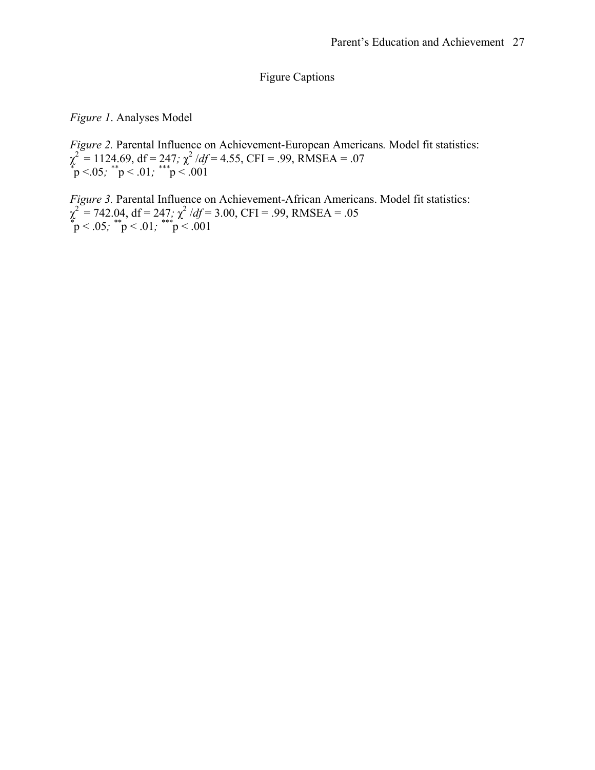Figure Captions

*Figure 1*. Analyses Model

*Figure 2.* Parental Influence on Achievement-European Americans*.* Model fit statistics: χ 2 = 1124.69, df = 247*;* χ 2 /*df* = 4.55, CFI = .99, RMSEA = .07 *\** p <.05*; \*\**p < .01*; \*\*\**p < .001

*Figure 3.* Parental Influence on Achievement-African Americans. Model fit statistics: χ 2 = 742.04, df = 247*;* χ 2 /*df* = 3.00, CFI = .99, RMSEA = .05 *\** p < .05*; \*\**p < .01*; \*\*\**p < .001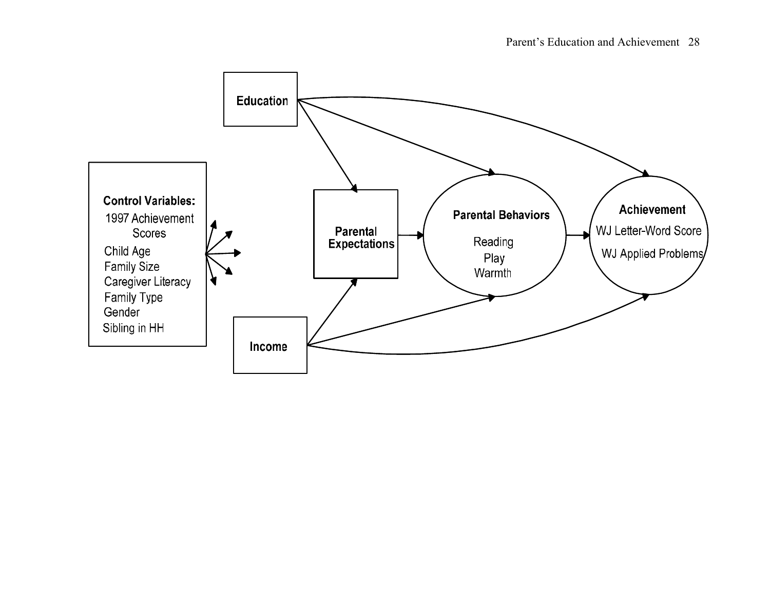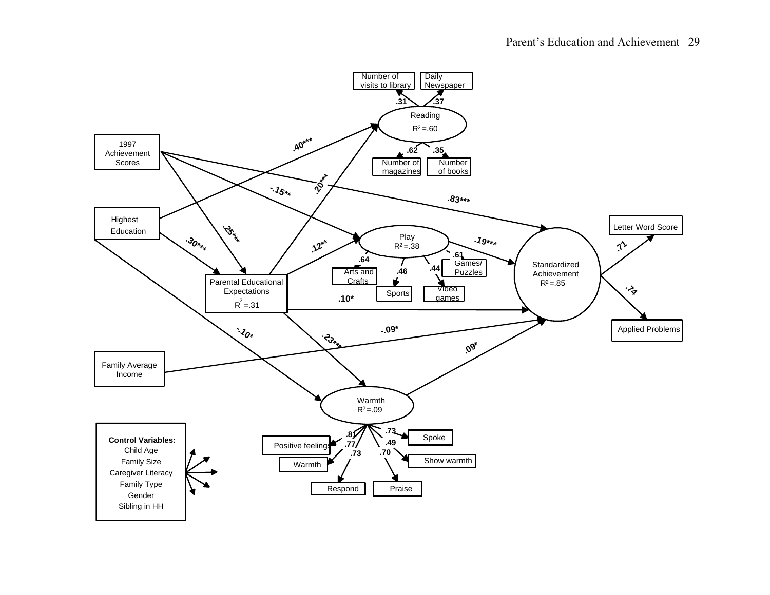